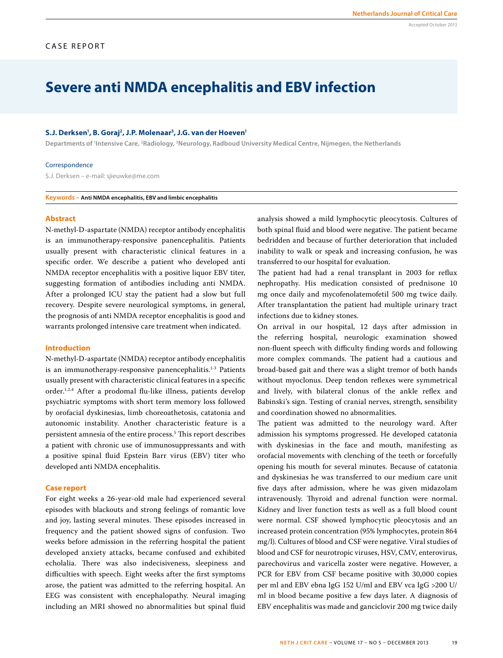# **Severe anti NMDA encephalitis and EBV infection**

#### S.J. Derksen<sup>1</sup>, B. Goraj<sup>2</sup>, J.P. Molenaar<sup>3</sup>, J.G. van der Hoeven<sup>1</sup>

Departments of <sup>1</sup>Intensive Care, <sup>2</sup>Radiology, <sup>3</sup>Neurology, Radboud University Medical Centre, Nijmegen, the Netherlands

#### Correspondence

S.J. Derksen – e-mail: sjieuwke@me.com

**Keywords – Anti NMDA encephalitis, EBV and limbic encephalitis**

## **Abstract**

N-methyl-D-aspartate (NMDA) receptor antibody encephalitis is an immunotherapy-responsive panencephalitis. Patients usually present with characteristic clinical features in a specific order. We describe a patient who developed anti NMDA receptor encephalitis with a positive liquor EBV titer, suggesting formation of antibodies including anti NMDA. After a prolonged ICU stay the patient had a slow but full recovery. Despite severe neurological symptoms, in general, the prognosis of anti NMDA receptor encephalitis is good and warrants prolonged intensive care treatment when indicated.

## **Introduction**

N-methyl-D-aspartate (NMDA) receptor antibody encephalitis is an immunotherapy-responsive panencephalitis.<sup>1-3</sup> Patients usually present with characteristic clinical features in a specific order.1,2,4 After a prodomal flu-like illness, patients develop psychiatric symptoms with short term memory loss followed by orofacial dyskinesias, limb choreoathetosis, catatonia and autonomic instability. Another characteristic feature is a persistent amnesia of the entire process.5 This report describes a patient with chronic use of immunosuppressants and with a positive spinal fluid Epstein Barr virus (EBV) titer who developed anti NMDA encephalitis.

## **Case report**

For eight weeks a 26-year-old male had experienced several episodes with blackouts and strong feelings of romantic love and joy, lasting several minutes. These episodes increased in frequency and the patient showed signs of confusion. Two weeks before admission in the referring hospital the patient developed anxiety attacks, became confused and exhibited echolalia. There was also indecisiveness, sleepiness and difficulties with speech. Eight weeks after the first symptoms arose, the patient was admitted to the referring hospital. An EEG was consistent with encephalopathy. Neural imaging including an MRI showed no abnormalities but spinal fluid

analysis showed a mild lymphocytic pleocytosis. Cultures of both spinal fluid and blood were negative. The patient became bedridden and because of further deterioration that included inability to walk or speak and increasing confusion, he was transferred to our hospital for evaluation.

The patient had had a renal transplant in 2003 for reflux nephropathy. His medication consisted of prednisone 10 mg once daily and mycofenolatemofetil 500 mg twice daily. After transplantation the patient had multiple urinary tract infections due to kidney stones.

On arrival in our hospital, 12 days after admission in the referring hospital, neurologic examination showed non-fluent speech with difficulty finding words and following more complex commands. The patient had a cautious and broad-based gait and there was a slight tremor of both hands without myoclonus. Deep tendon reflexes were symmetrical and lively, with bilateral clonus of the ankle reflex and Babinski's sign. Testing of cranial nerves, strength, sensibility and coordination showed no abnormalities.

The patient was admitted to the neurology ward. After admission his symptoms progressed. He developed catatonia with dyskinesias in the face and mouth, manifesting as orofacial movements with clenching of the teeth or forcefully opening his mouth for several minutes. Because of catatonia and dyskinesias he was transferred to our medium care unit five days after admission, where he was given midazolam intravenously. Thyroid and adrenal function were normal. Kidney and liver function tests as well as a full blood count were normal. CSF showed lymphocytic pleocytosis and an increased protein concentration (95% lymphocytes, protein 864 mg/l). Cultures of blood and CSF were negative. Viral studies of blood and CSF for neurotropic viruses, HSV, CMV, enterovirus, parechovirus and varicella zoster were negative. However, a PCR for EBV from CSF became positive with 30,000 copies per ml and EBV ebna IgG 152 U/ml and EBV vca IgG >200 U/ ml in blood became positive a few days later. A diagnosis of EBV encephalitis was made and ganciclovir 200 mg twice daily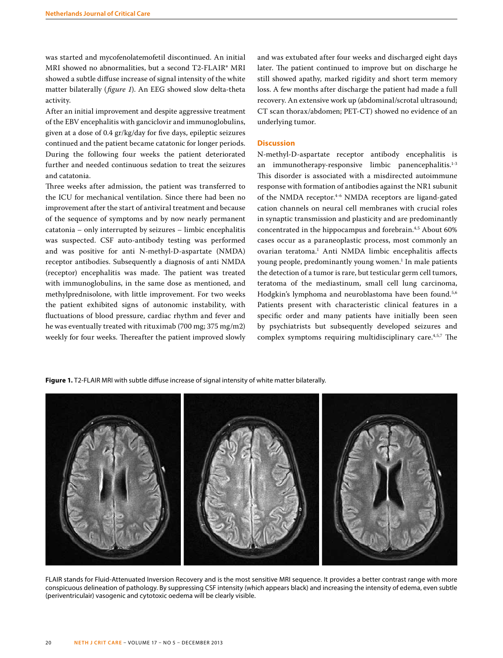was started and mycofenolatemofetil discontinued. An initial MRI showed no abnormalities, but a second T2-FLAIR\* MRI showed a subtle diffuse increase of signal intensity of the white matter bilaterally (*figure 1*). An EEG showed slow delta-theta activity.

After an initial improvement and despite aggressive treatment of the EBV encephalitis with ganciclovir and immunoglobulins, given at a dose of 0.4 gr/kg/day for five days, epileptic seizures continued and the patient became catatonic for longer periods. During the following four weeks the patient deteriorated further and needed continuous sedation to treat the seizures and catatonia.

Three weeks after admission, the patient was transferred to the ICU for mechanical ventilation. Since there had been no improvement after the start of antiviral treatment and because of the sequence of symptoms and by now nearly permanent catatonia – only interrupted by seizures – limbic encephalitis was suspected. CSF auto-antibody testing was performed and was positive for anti N-methyl-D-aspartate (NMDA) receptor antibodies. Subsequently a diagnosis of anti NMDA (receptor) encephalitis was made. The patient was treated with immunoglobulins, in the same dose as mentioned, and methylprednisolone, with little improvement. For two weeks the patient exhibited signs of autonomic instability, with fluctuations of blood pressure, cardiac rhythm and fever and he was eventually treated with rituximab (700 mg; 375 mg/m2) weekly for four weeks. Thereafter the patient improved slowly and was extubated after four weeks and discharged eight days later. The patient continued to improve but on discharge he still showed apathy, marked rigidity and short term memory loss. A few months after discharge the patient had made a full recovery. An extensive work up (abdominal/scrotal ultrasound; CT scan thorax/abdomen; PET-CT) showed no evidence of an underlying tumor.

## **Discussion**

N-methyl-D-aspartate receptor antibody encephalitis is an immunotherapy-responsive limbic panencephalitis.<sup>1-3</sup> This disorder is associated with a misdirected autoimmune response with formation of antibodies against the NR1 subunit of the NMDA receptor.<sup>4-6</sup> NMDA receptors are ligand-gated cation channels on neural cell membranes with crucial roles in synaptic transmission and plasticity and are predominantly concentrated in the hippocampus and forebrain.<sup>4,5</sup> About 60% cases occur as a paraneoplastic process, most commonly an ovarian teratoma.<sup>1</sup> Anti NMDA limbic encephalitis affects young people, predominantly young women.<sup>1</sup> In male patients the detection of a tumor is rare, but testicular germ cell tumors, teratoma of the mediastinum, small cell lung carcinoma, Hodgkin's lymphoma and neuroblastoma have been found.<sup>5,6</sup> Patients present with characteristic clinical features in a specific order and many patients have initially been seen by psychiatrists but subsequently developed seizures and complex symptoms requiring multidisciplinary care.4,5,7 The

**Figure 1.** T2-FLAIR MRI with subtle diffuse increase of signal intensity of white matter bilaterally.



FLAIR stands for Fluid-Attenuated Inversion Recovery and is the most sensitive MRI sequence. It provides a better contrast range with more conspicuous delineation of pathology. By suppressing CSF intensity (which appears black) and increasing the intensity of edema, even subtle (periventriculair) vasogenic and cytotoxic oedema will be clearly visible.